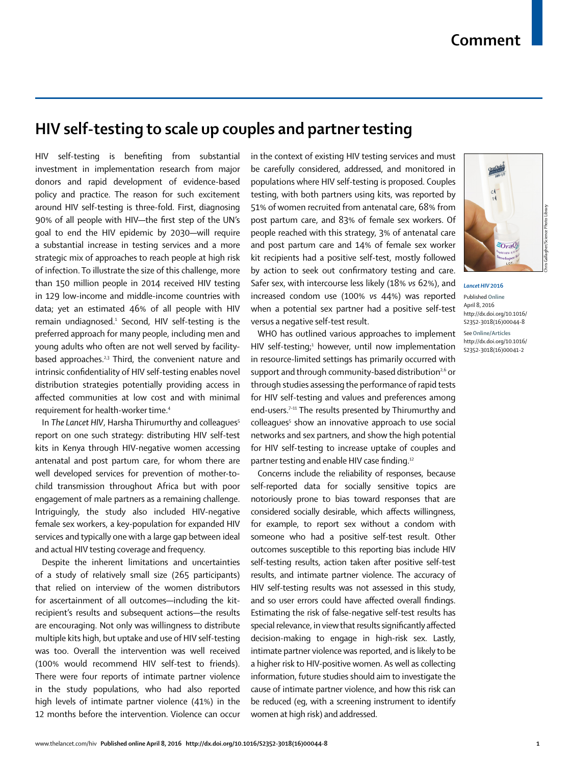## **HIV self-testing to scale up couples and partner testing**

HIV self-testing is benefiting from substantial investment in implementation research from major donors and rapid development of evidence-based policy and practice. The reason for such excitement around HIV self-testing is three-fold. First, diagnosing 90% of all people with HIV-the first step of the UN's goal to end the HIV epidemic by 2030—will require a substantial increase in testing services and a more strategic mix of approaches to reach people at high risk of infection. To illustrate the size of this challenge, more than 150 million people in 2014 received HIV testing in 129 low-income and middle-income countries with data; yet an estimated 46% of all people with HIV remain undiagnosed.1 Second, HIV self-testing is the preferred approach for many people, including men and young adults who often are not well served by facilitybased approaches. $2,3$  Third, the convenient nature and intrinsic confidentiality of HIV self-testing enables novel distribution strategies potentially providing access in affected communities at low cost and with minimal requirement for health-worker time.4

In The Lancet HIV, Harsha Thirumurthy and colleagues<sup>5</sup> report on one such strategy: distributing HIV self-test kits in Kenya through HIV-negative women accessing antenatal and post partum care, for whom there are well developed services for prevention of mother-tochild transmission throughout Africa but with poor engagement of male partners as a remaining challenge. Intriguingly, the study also included HIV-negative female sex workers, a key-population for expanded HIV services and typically one with a large gap between ideal and actual HIV testing coverage and frequency.

Despite the inherent limitations and uncertainties of a study of relatively small size (265 participants) that relied on interview of the women distributors for ascertainment of all outcomes—including the kitrecipient's results and subsequent actions—the results are encouraging. Not only was willingness to distribute multiple kits high, but uptake and use of HIV self-testing was too. Overall the intervention was well received (100% would recommend HIV self-test to friends). There were four reports of intimate partner violence in the study populations, who had also reported high levels of intimate partner violence (41%) in the 12 months before the intervention. Violence can occur

in the context of existing HIV testing services and must be carefully considered, addressed, and monitored in populations where HIV self-testing is proposed. Couples testing, with both partners using kits, was reported by 51% of women recruited from antenatal care, 68% from post partum care, and 83% of female sex workers. Of people reached with this strategy, 3% of antenatal care and post partum care and 14% of female sex worker kit recipients had a positive self-test, mostly followed by action to seek out confirmatory testing and care. Safer sex, with intercourse less likely (18% *vs* 62%), and increased condom use (100% *vs* 44%) was reported when a potential sex partner had a positive self-test versus a negative self-test result.

WHO has outlined various approaches to implement HIV self-testing;<sup>1</sup> however, until now implementation in resource-limited settings has primarily occurred with support and through community-based distribution<sup>2,6</sup> or through studies assessing the performance of rapid tests for HIV self-testing and values and preferences among end-users.<sup>7-11</sup> The results presented by Thirumurthy and colleagues<sup>5</sup> show an innovative approach to use social networks and sex partners, and show the high potential for HIV self-testing to increase uptake of couples and partner testing and enable HIV case finding.<sup>12</sup>

Concerns include the reliability of responses, because self-reported data for socially sensitive topics are notoriously prone to bias toward responses that are considered socially desirable, which affects willingness, for example, to report sex without a condom with someone who had a positive self-test result. Other outcomes susceptible to this reporting bias include HIV self-testing results, action taken after positive self-test results, and intimate partner violence. The accuracy of HIV self-testing results was not assessed in this study, and so user errors could have affected overall findings. Estimating the risk of false-negative self-test results has special relevance, in view that results significantly affected decision-making to engage in high-risk sex. Lastly, intimate partner violence was reported, and is likely to be a higher risk to HIV-positive women. As well as collecting information, future studies should aim to investigate the cause of intimate partner violence, and how this risk can be reduced (eg, with a screening instrument to identify women at high risk) and addressed.



*Lancet HIV* **2016** Published **Online**

April 8, 2016 http://dx.doi.org/10.1016/ S2352-3018(16)00044-8 See**Online/Articles** http://dx.doi.org/10.1016/ S2352-3018(16)00041-2